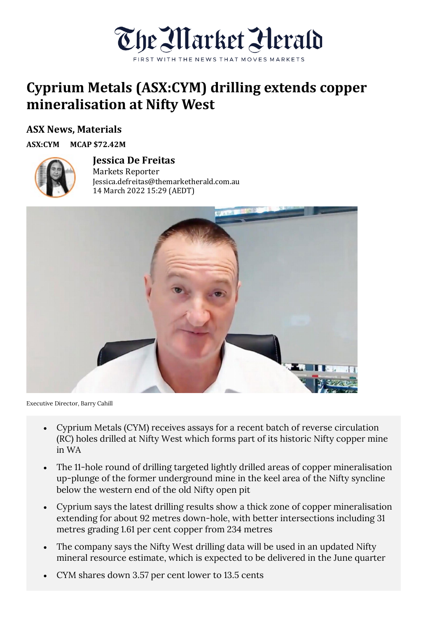

## **Cyprium Metals (ASX:CYM) drilling extends copper mineralisation at Nifty West**

## **ASX News, Materials**

**ASX:CYM MCAP \$72.42M**



## **Jessica De Freitas** Markets Reporter

Jessica.defreitas@themarketherald.com.au 14 March 2022 15:29 (AEDT)



Executive Director, Barry Cahill

- Cyprium Metals (CYM) receives assays for a recent batch of reverse circulation (RC) holes drilled at Nifty West which forms part of its historic Nifty copper mine in WA
- The 11-hole round of drilling targeted lightly drilled areas of copper mineralisation up-plunge of the former underground mine in the keel area of the Nifty syncline below the western end of the old Nifty open pit
- Cyprium says the latest drilling results show a thick zone of copper mineralisation extending for about 92 metres down-hole, with better intersections including 31 metres grading 1.61 per cent copper from 234 metres
- The company says the Nifty West drilling data will be used in an updated Nifty mineral resource estimate, which is expected to be delivered in the June quarter
- CYM shares down 3.57 per cent lower to 13.5 cents